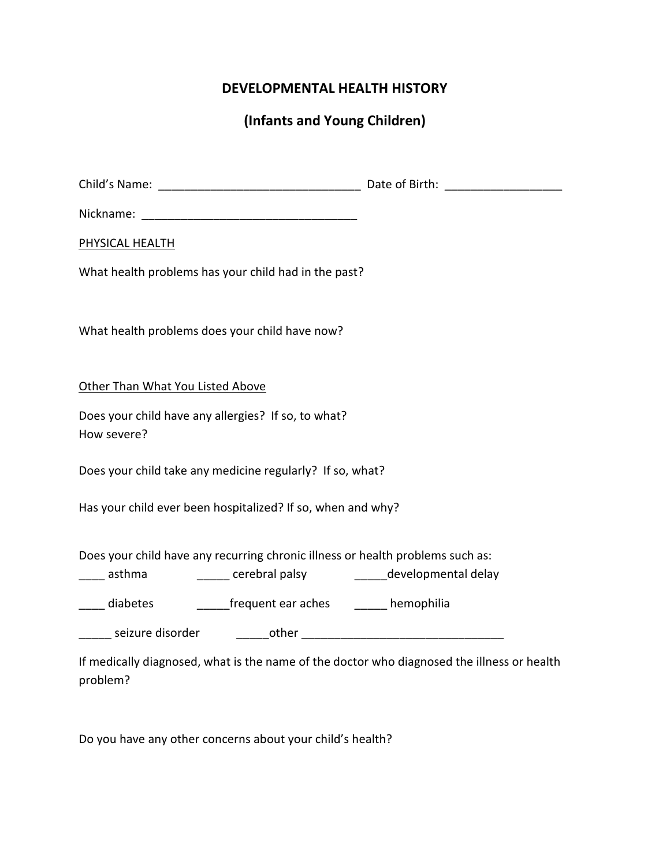## DEVELOPMENTAL HEALTH HISTORY

(Infants and Young Children)

| PHYSICAL HEALTH                  |                                                             |                                                                                                                                                     |
|----------------------------------|-------------------------------------------------------------|-----------------------------------------------------------------------------------------------------------------------------------------------------|
|                                  | What health problems has your child had in the past?        |                                                                                                                                                     |
|                                  | What health problems does your child have now?              |                                                                                                                                                     |
| Other Than What You Listed Above |                                                             |                                                                                                                                                     |
| How severe?                      | Does your child have any allergies? If so, to what?         |                                                                                                                                                     |
|                                  | Does your child take any medicine regularly? If so, what?   |                                                                                                                                                     |
|                                  | Has your child ever been hospitalized? If so, when and why? |                                                                                                                                                     |
|                                  |                                                             | Does your child have any recurring chronic illness or health problems such as:<br>____ asthma _________ cerebral palsy ________ developmental delay |
|                                  | diabetes ___________frequent ear aches _______ hemophilia   |                                                                                                                                                     |
|                                  |                                                             |                                                                                                                                                     |
|                                  |                                                             | If medically diagnosed, what is the name of the doctor who diagnosed the illness or health                                                          |

Do you have any other concerns about your child's health?

problem?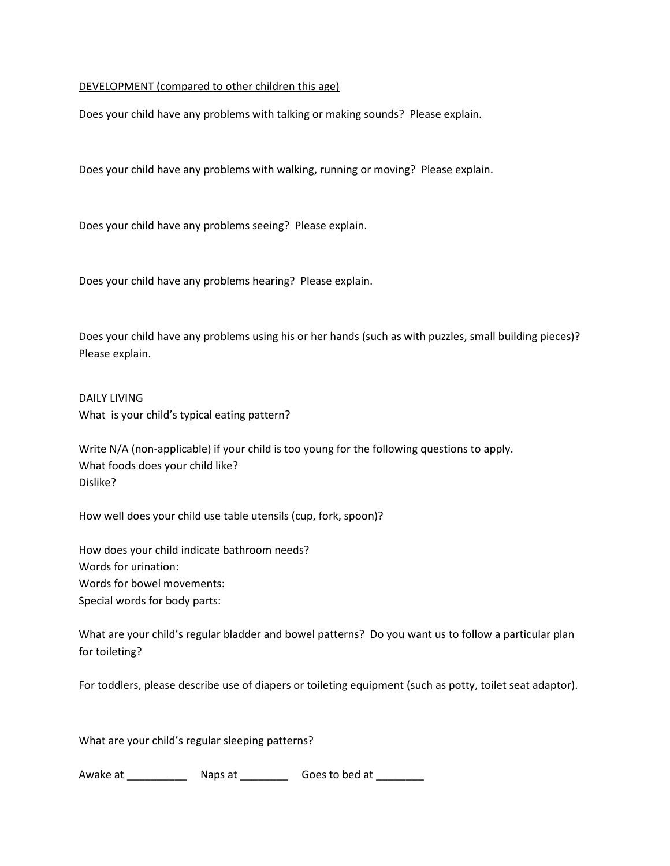## DEVELOPMENT (compared to other children this age)

Does your child have any problems with talking or making sounds? Please explain.

Does your child have any problems with walking, running or moving? Please explain.

Does your child have any problems seeing? Please explain.

Does your child have any problems hearing? Please explain.

Does your child have any problems using his or her hands (such as with puzzles, small building pieces)? Please explain.

## DAILY LIVING

What is your child's typical eating pattern?

Write N/A (non-applicable) if your child is too young for the following questions to apply. What foods does your child like? Dislike?

How well does your child use table utensils (cup, fork, spoon)?

How does your child indicate bathroom needs? Words for urination: Words for bowel movements: Special words for body parts:

What are your child's regular bladder and bowel patterns? Do you want us to follow a particular plan for toileting?

For toddlers, please describe use of diapers or toileting equipment (such as potty, toilet seat adaptor).

What are your child's regular sleeping patterns?

Awake at \_\_\_\_\_\_\_\_\_\_\_\_\_\_\_ Naps at \_\_\_\_\_\_\_\_\_\_\_\_\_ Goes to bed at \_\_\_\_\_\_\_\_\_\_\_